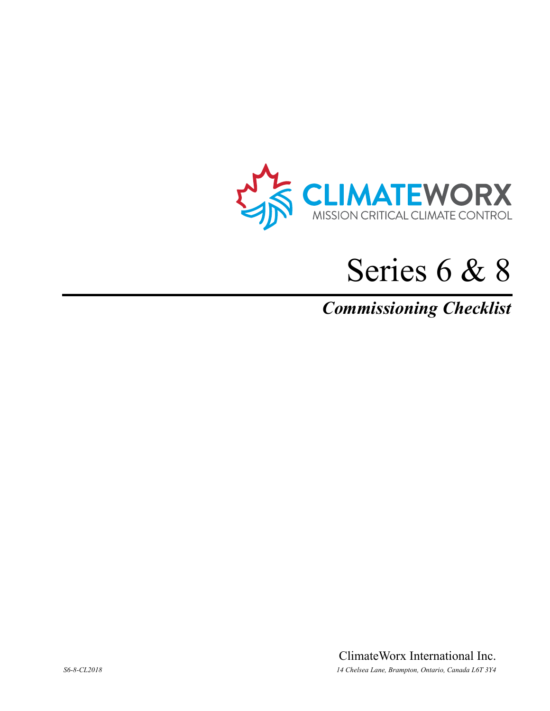

# Series 6 & 8

## *Commissioning Checklist*

ClimateWorx International Inc. *S6-8-CL2018 14 Chelsea Lane, Brampton, Ontario, Canada L6T 3Y4*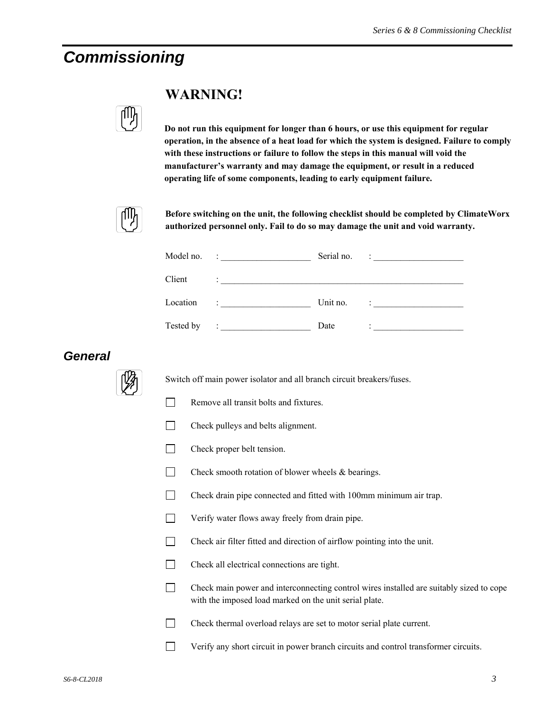## *Commissioning*



#### **WARNING!**

**Do not run this equipment for longer than 6 hours, or use this equipment for regular operation, in the absence of a heat load for which the system is designed. Failure to comply with these instructions or failure to follow the steps in this manual will void the manufacturer's warranty and may damage the equipment, or result in a reduced operating life of some components, leading to early equipment failure.** 



**Before switching on the unit, the following checklist should be completed by ClimateWorx authorized personnel only. Fail to do so may damage the unit and void warranty.** 

|           | Model no. :                                                                        | Serial no. | $\ddot{\phantom{a}}$ . The contract of the contract of the contract of the contract of the contract of the contract of the contract of the contract of the contract of the contract of the contract of the contract of the contract of |
|-----------|------------------------------------------------------------------------------------|------------|----------------------------------------------------------------------------------------------------------------------------------------------------------------------------------------------------------------------------------------|
| Client    | <u> 1986 - John Stein, maritan amerikan ba</u>                                     |            |                                                                                                                                                                                                                                        |
| Location  | design and the control of the                                                      | Unit no.   |                                                                                                                                                                                                                                        |
| Tested by | $\mathcal{L} = \{ \mathcal{L} \in \mathcal{L} \mid \mathcal{L} \in \mathcal{L} \}$ | Date       | <u> 1989 - Andrea Station Barbara, amerikan per</u>                                                                                                                                                                                    |

#### *General*



Switch off main power isolator and all branch circuit breakers/fuses.

- $\Box$  Remove all transit bolts and fixtures.
- T Check pulleys and belts alignment.
- $\Box$  Check proper belt tension.
- $\Box$  Check smooth rotation of blower wheels & bearings.
- Check drain pipe connected and fitted with 100mm minimum air trap.
- $\Box$  Verify water flows away freely from drain pipe.
- Check air filter fitted and direction of airflow pointing into the unit.
- Check all electrical connections are tight.
- Check main power and interconnecting control wires installed are suitably sized to cope with the imposed load marked on the unit serial plate.
- $\Box$  Check thermal overload relays are set to motor serial plate current.
- Verify any short circuit in power branch circuits and control transformer circuits.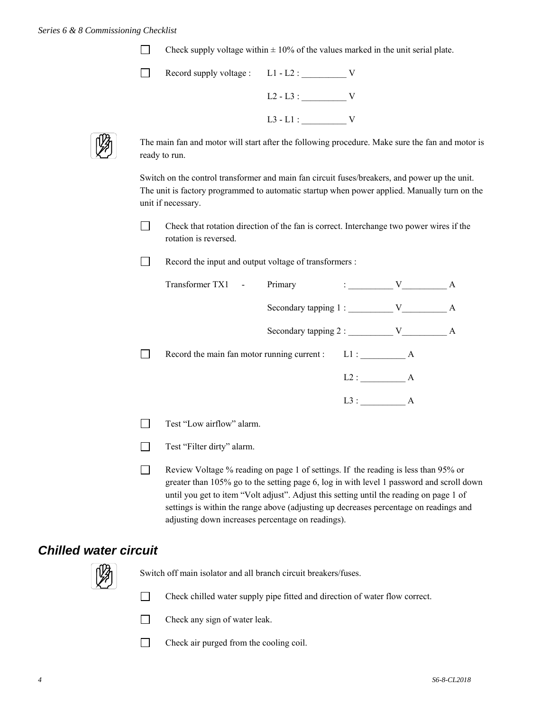Check supply voltage within  $\pm$  10% of the values marked in the unit serial plate.

| Record supply voltage : L1 - L2 : |             |  |
|-----------------------------------|-------------|--|
|                                   | $L2 - L3$ : |  |
|                                   | $L3 - L1$ : |  |



The main fan and motor will start after the following procedure. Make sure the fan and motor is ready to run.

Switch on the control transformer and main fan circuit fuses/breakers, and power up the unit. The unit is factory programmed to automatic startup when power applied. Manually turn on the unit if necessary.

 Check that rotation direction of the fan is correct. Interchange two power wires if the rotation is reversed.

Record the input and output voltage of transformers :

| Transformer TX1 -                                | Primary                     | $\mathbf{1}$ , and $\mathbf{1}$ , and $\mathbf{1}$ | V | A |
|--------------------------------------------------|-----------------------------|----------------------------------------------------|---|---|
|                                                  | Secondary tapping 1: V      |                                                    |   | A |
|                                                  | Secondary tapping 2 : $V$ V |                                                    |   | A |
| Record the main fan motor running current : L1 : |                             |                                                    | A |   |
|                                                  |                             | L2:                                                | A |   |
|                                                  |                             | L3:                                                | A |   |
| Test "Low airflow" alarm                         |                             |                                                    |   |   |

- Test "Low airflow" alarm.
- Test "Filter dirty" alarm.
- Review Voltage % reading on page 1 of settings. If the reading is less than 95% or greater than 105% go to the setting page 6, log in with level 1 password and scroll down until you get to item "Volt adjust". Adjust this setting until the reading on page 1 of settings is within the range above (adjusting up decreases percentage on readings and adjusting down increases percentage on readings).

#### *Chilled water circuit*



Switch off main isolator and all branch circuit breakers/fuses.

Check chilled water supply pipe fitted and direction of water flow correct.

- Check any sign of water leak.
- Check air purged from the cooling coil.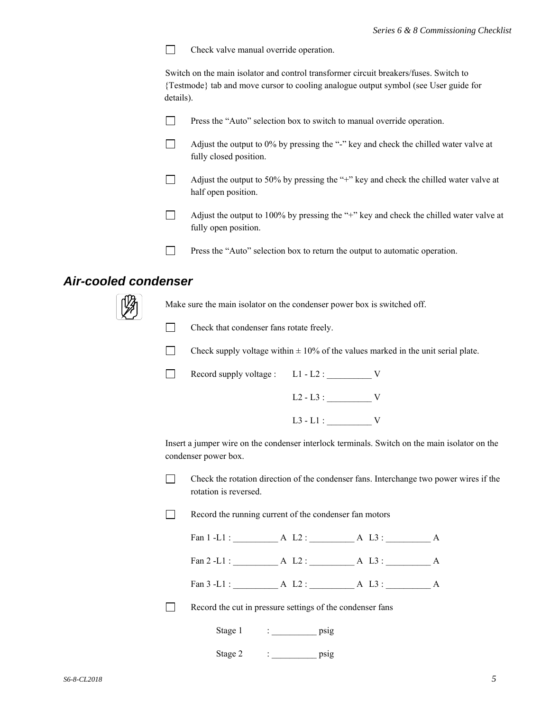Check valve manual override operation.  $\Box$ 

Switch on the main isolator and control transformer circuit breakers/fuses. Switch to {Testmode} tab and move cursor to cooling analogue output symbol (see User guide for details).

- $\Box$  Press the "Auto" selection box to switch to manual override operation.
- $\Box$  Adjust the output to 0% by pressing the "-" key and check the chilled water valve at fully closed position.
- $\Box$  Adjust the output to 50% by pressing the "+" key and check the chilled water valve at half open position.
- Adjust the output to 100% by pressing the "+" key and check the chilled water valve at fully open position.
- Press the "Auto" selection box to return the output to automatic operation.

#### *Air-cooled condenser*



Make sure the main isolator on the condenser power box is switched off.



T Check that condenser fans rotate freely.



Record supply voltage :  $L1 - L2$  :  $V$ 

 $L3 - L1 :$  V

Insert a jumper wire on the condenser interlock terminals. Switch on the main isolator on the condenser power box.

 Check the rotation direction of the condenser fans. Interchange two power wires if the rotation is reversed.



Fan 1 -L1 : <br>A L2 : <br>A L3 : <br>A

Fan 2 -L1 : \_\_\_\_\_\_\_\_\_\_ A L2 : \_\_\_\_\_\_\_\_\_\_ A L3 : \_\_\_\_\_\_\_\_\_\_ A

Fan 3 -L1 : <br>A L2 : <br>A L3 : <br>A

Record the cut in pressure settings of the condenser fans

| Stage<br>1<br>$ -$ | <b>ns10</b> |
|--------------------|-------------|
|                    |             |

| Stage | DS12 |
|-------|------|
|       |      |
|       |      |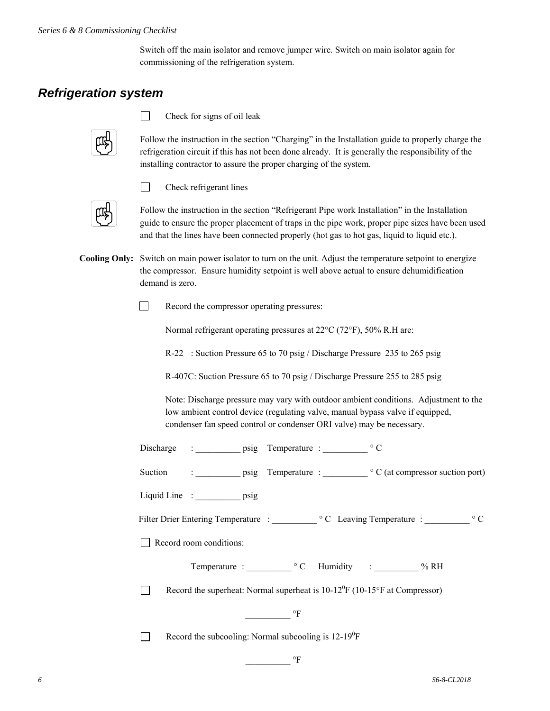Switch off the main isolator and remove jumper wire. Switch on main isolator again for commissioning of the refrigeration system.

#### *Refrigeration system*



 $\Box$ 

П

Check for signs of oil leak

Check refrigerant lines

Follow the instruction in the section "Charging" in the Installation guide to properly charge the refrigeration circuit if this has not been done already. It is generally the responsibility of the installing contractor to assure the proper charging of the system.



Follow the instruction in the section "Refrigerant Pipe work Installation" in the Installation guide to ensure the proper placement of traps in the pipe work, proper pipe sizes have been used and that the lines have been connected properly (hot gas to hot gas, liquid to liquid etc.).

**Cooling Only:** Switch on main power isolator to turn on the unit. Adjust the temperature setpoint to energize the compressor. Ensure humidity setpoint is well above actual to ensure dehumidification demand is zero.

Record the compressor operating pressures:

Normal refrigerant operating pressures at  $22^{\circ}$ C (72 $^{\circ}$ F), 50% R.H are:

R-22 : Suction Pressure 65 to 70 psig / Discharge Pressure 235 to 265 psig

R-407C: Suction Pressure 65 to 70 psig / Discharge Pressure 255 to 285 psig

 Note: Discharge pressure may vary with outdoor ambient conditions. Adjustment to the low ambient control device (regulating valve, manual bypass valve if equipped, condenser fan speed control or condenser ORI valve) may be necessary.

| Discharge |  | Temperature |  |
|-----------|--|-------------|--|
|           |  |             |  |

Suction : \_\_\_\_\_\_\_\_\_\_\_ psig Temperature : \_\_\_\_\_\_\_\_\_\_\_ ° C (at compressor suction port)

Liquid Line : \_\_\_\_\_\_\_\_\_\_\_ psig

Filter Drier Entering Temperature : \_\_\_\_\_\_\_\_\_\_ C Leaving Temperature : \_\_\_\_\_\_\_\_\_\_ C

Record room conditions:

| $\frac{0}{0}$<br>Humidity |
|---------------------------|
|                           |

Record the superheat: Normal superheat is  $10-12^0F(10-15^{\circ}F$  at Compressor)

 $\rm ^oF$ 

Record the subcooling: Normal subcooling is  $12-19^0F$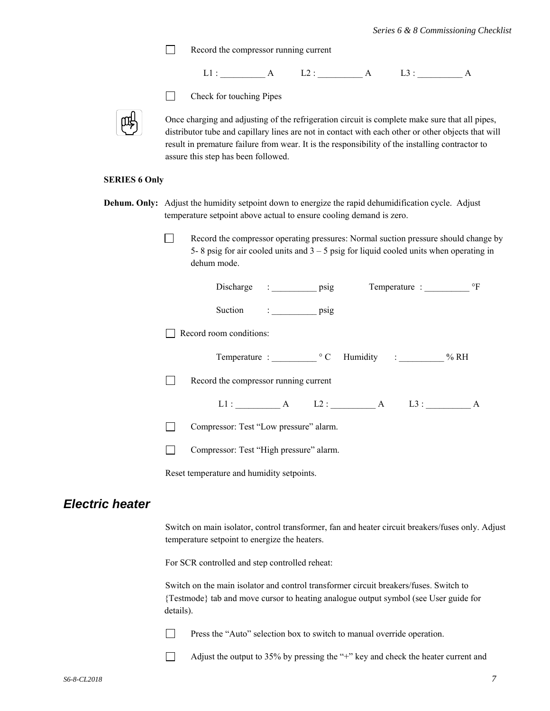Record the compressor running current



- 
- $\Box$  Check for touching Pipes

Once charging and adjusting of the refrigeration circuit is complete make sure that all pipes, distributor tube and capillary lines are not in contact with each other or other objects that will result in premature failure from wear. It is the responsibility of the installing contractor to assure this step has been followed.

#### **SERIES 6 Only**

- **Dehum. Only:** Adjust the humidity setpoint down to energize the rapid dehumidification cycle. Adjust temperature setpoint above actual to ensure cooling demand is zero.
	- Record the compressor operating pressures: Normal suction pressure should change by 5- 8 psig for air cooled units and  $3 - 5$  psig for liquid cooled units when operating in dehum mode.

|                        | $\,{}^{\circ}\mathrm{F}$<br>Discharge : psig<br>Temperature :                                                                                                                                                                                                                                                                  |
|------------------------|--------------------------------------------------------------------------------------------------------------------------------------------------------------------------------------------------------------------------------------------------------------------------------------------------------------------------------|
|                        | Suction<br>$\frac{1}{2}$ $\frac{1}{2}$ $\frac{1}{2}$ $\frac{1}{2}$ $\frac{1}{2}$ $\frac{1}{2}$ $\frac{1}{2}$ $\frac{1}{2}$ $\frac{1}{2}$ $\frac{1}{2}$ $\frac{1}{2}$ $\frac{1}{2}$ $\frac{1}{2}$ $\frac{1}{2}$ $\frac{1}{2}$ $\frac{1}{2}$ $\frac{1}{2}$ $\frac{1}{2}$ $\frac{1}{2}$ $\frac{1}{2}$ $\frac{1}{2}$ $\frac{1}{2}$ |
|                        | Record room conditions:                                                                                                                                                                                                                                                                                                        |
|                        | Temperature : <sup>o</sup> C Humidity : % RH                                                                                                                                                                                                                                                                                   |
|                        | Record the compressor running current                                                                                                                                                                                                                                                                                          |
|                        | L1: $A$ L2: $A$ L3: $A$                                                                                                                                                                                                                                                                                                        |
|                        | Compressor: Test "Low pressure" alarm.<br>$\Box$                                                                                                                                                                                                                                                                               |
|                        | Compressor: Test "High pressure" alarm.                                                                                                                                                                                                                                                                                        |
|                        | Reset temperature and humidity setpoints.                                                                                                                                                                                                                                                                                      |
| <b>Electric heater</b> |                                                                                                                                                                                                                                                                                                                                |
|                        | Switch on main isolator, control transformer, fan and heater circuit breakers/fuses only. Adjust<br>temperature setpoint to energize the heaters.                                                                                                                                                                              |
|                        | For SCR controlled and step controlled reheat:                                                                                                                                                                                                                                                                                 |
|                        | Switch on the main isolator and control transformer circuit breakers/fuses. Switch to<br>{Testmode} tab and move cursor to heating analogue output symbol (see User guide for<br>details).                                                                                                                                     |
|                        | Press the "Auto" selection box to switch to manual override operation.                                                                                                                                                                                                                                                         |
|                        | Adjust the output to 35% by pressing the "+" key and check the heater current and                                                                                                                                                                                                                                              |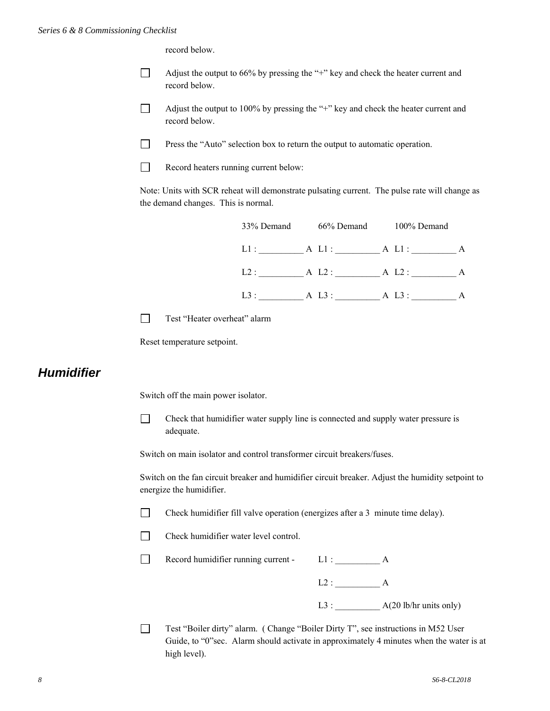record below.

- $\Box$  Adjust the output to 66% by pressing the "+" key and check the heater current and record below.
- Adjust the output to 100% by pressing the "+" key and check the heater current and record below.
- **Press the "Auto" selection box to return the output to automatic operation.**
- Record heaters running current below:

Note: Units with SCR reheat will demonstrate pulsating current. The pulse rate will change as the demand changes. This is normal.



Test "Heater overheat" alarm

Reset temperature setpoint.

#### *Humidifier*

Switch off the main power isolator.

 $\Box$  Check that humidifier water supply line is connected and supply water pressure is adequate.

Switch on main isolator and control transformer circuit breakers/fuses.

Switch on the fan circuit breaker and humidifier circuit breaker. Adjust the humidity setpoint to energize the humidifier.

Check humidifier fill valve operation (energizes after a 3 minute time delay).

Check humidifier water level control.

Record humidifier running current -  $L1$  :  $A$ 

 $L2:$  A

 $L3:$   $A(20 \text{ lb/hr units only})$ 

 Test "Boiler dirty" alarm. ( Change "Boiler Dirty T", see instructions in M52 User Guide, to "0"sec. Alarm should activate in approximately 4 minutes when the water is at high level).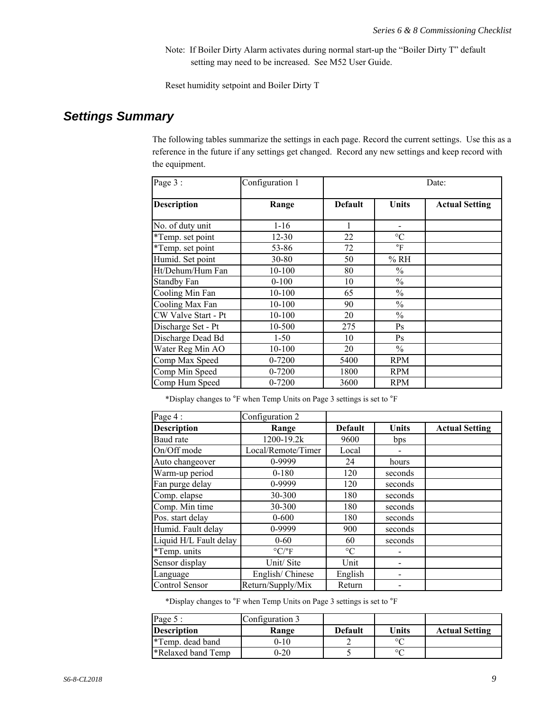Note: If Boiler Dirty Alarm activates during normal start-up the "Boiler Dirty T" default setting may need to be increased. See M52 User Guide.

Reset humidity setpoint and Boiler Dirty T

#### *Settings Summary*

The following tables summarize the settings in each page. Record the current settings. Use this as a reference in the future if any settings get changed. Record any new settings and keep record with the equipment.

| Page 3:             | Configuration 1 | Date:          |                      |                       |  |
|---------------------|-----------------|----------------|----------------------|-----------------------|--|
| <b>Description</b>  | Range           | <b>Default</b> | Units                | <b>Actual Setting</b> |  |
| No. of duty unit    | $1-16$          | 1              |                      |                       |  |
| *Temp. set point    | $12 - 30$       | 22             | $\rm ^{\circ}C$      |                       |  |
| *Temp. set point    | 53-86           | 72             | $\mathrm{^{\circ}F}$ |                       |  |
| Humid. Set point    | $30 - 80$       | 50             | % RH                 |                       |  |
| Ht/Dehum/Hum Fan    | 10-100          | 80             | $\frac{0}{0}$        |                       |  |
| <b>Standby Fan</b>  | $0 - 100$       | 10             | $\frac{0}{0}$        |                       |  |
| Cooling Min Fan     | 10-100          | 65             | $\frac{0}{0}$        |                       |  |
| Cooling Max Fan     | 10-100          | 90             | $\frac{0}{0}$        |                       |  |
| CW Valve Start - Pt | 10-100          | 20             | $\frac{0}{0}$        |                       |  |
| Discharge Set - Pt  | 10-500          | 275            | Ps                   |                       |  |
| Discharge Dead Bd   | $1-50$          | 10             | Ps                   |                       |  |
| Water Reg Min AO    | 10-100          | 20             | $\frac{0}{0}$        |                       |  |
| Comp Max Speed      | 0-7200          | 5400           | <b>RPM</b>           |                       |  |
| Comp Min Speed      | $0 - 7200$      | 1800           | <b>RPM</b>           |                       |  |
| Comp Hum Speed      | $0 - 7200$      | 3600           | <b>RPM</b>           |                       |  |

\*Display changes to °F when Temp Units on Page 3 settings is set to °F

| Page 4:                | Configuration 2                 |                 |         |                       |
|------------------------|---------------------------------|-----------------|---------|-----------------------|
| <b>Description</b>     | Range                           | <b>Default</b>  | Units   | <b>Actual Setting</b> |
| Baud rate              | 1200-19.2k                      | 9600            | bps     |                       |
| On/Off mode            | Local/Remote/Timer              | Local           |         |                       |
| Auto changeover        | 0-9999                          | 24              | hours   |                       |
| Warm-up period         | $0 - 180$                       | 120             | seconds |                       |
| Fan purge delay        | 0-9999                          | 120             | seconds |                       |
| Comp. elapse           | 30-300                          | 180             | seconds |                       |
| Comp. Min time         | 30-300                          | 180             | seconds |                       |
| Pos. start delay       | $0 - 600$                       | 180             | seconds |                       |
| Humid. Fault delay     | 0-9999                          | 900             | seconds |                       |
| Liquid H/L Fault delay | $0 - 60$                        | 60              | seconds |                       |
| *Temp. units           | $\rm ^{\circ} C/\rm ^{\circ} F$ | $\rm ^{\circ}C$ |         |                       |
| Sensor display         | Unit/Site                       | Unit            |         |                       |
| Language               | English/Chinese                 | English         |         |                       |
| Control Sensor         | Return/Supply/Mix               | Return          |         |                       |

\*Display changes to °F when Temp Units on Page 3 settings is set to °F

| Page 5:            | Configuration 3 |                |         |                       |
|--------------------|-----------------|----------------|---------|-----------------------|
| <b>Description</b> | Range           | <b>Default</b> | Units   | <b>Actual Setting</b> |
| *Temp. dead band   | 9-10            |                | $\circ$ |                       |
| *Relaxed band Temp | 0-20            |                | $\circ$ |                       |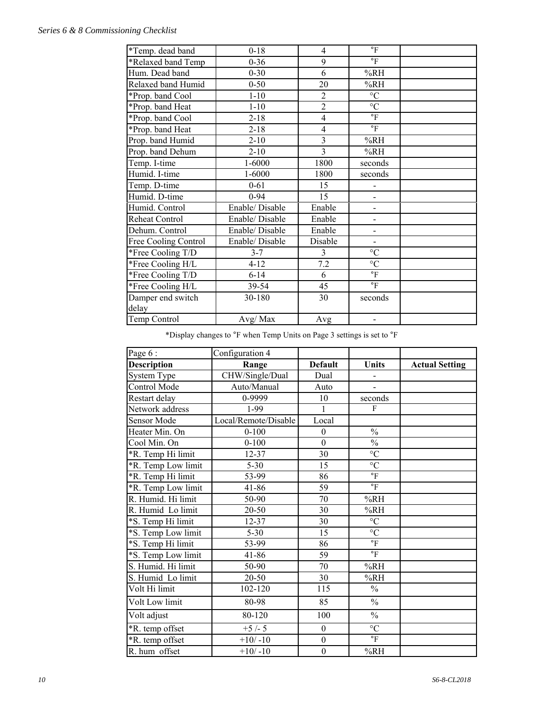#### *Series 6 & 8 Commissioning Checklist*

| *Temp. dead band     | $0 - 18$       | 4              | $\mathrm{^{\circ}F}$     |  |
|----------------------|----------------|----------------|--------------------------|--|
| *Relaxed band Temp   | $0 - 36$       | 9              | $\mathrm{^{\circ}F}$     |  |
| Hum. Dead band       | $0 - 30$       | 6              | %RH                      |  |
| Relaxed band Humid   | $0 - 50$       | 20             | %RH                      |  |
| *Prop. band Cool     | $1 - 10$       | $\overline{c}$ | $^{\circ}{\rm C}$        |  |
| *Prop. band Heat     | $1 - 10$       | $\overline{2}$ | $^{\circ}{\rm C}$        |  |
| *Prop. band Cool     | $2 - 18$       | $\overline{4}$ | $\mathbf{P}$             |  |
| *Prop. band Heat     | $2 - 18$       | $\overline{4}$ | $\mathrm{^{\circ}F}$     |  |
| Prop. band Humid     | $2 - 10$       | $\overline{3}$ | %RH                      |  |
| Prop. band Dehum     | $2 - 10$       | 3              | %RH                      |  |
| Temp. I-time         | 1-6000         | 1800           | seconds                  |  |
| Humid. I-time        | 1-6000         | 1800           | seconds                  |  |
| Temp. D-time         | $0 - 61$       | 15             |                          |  |
| Humid. D-time        | $0 - 94$       | 15             | $\overline{a}$           |  |
| Humid. Control       | Enable/Disable | Enable         | $\overline{\phantom{0}}$ |  |
| Reheat Control       | Enable/Disable | Enable         | $\overline{\phantom{0}}$ |  |
| Dehum. Control       | Enable/Disable | Enable         | $\overline{\phantom{a}}$ |  |
| Free Cooling Control | Enable/Disable | Disable        | $\overline{\phantom{0}}$ |  |
| *Free Cooling T/D    | $3 - 7$        | $\overline{3}$ | $\rm ^{\circ}C$          |  |
| *Free Cooling H/L    | $4 - 12$       | 7.2            | $\rm ^{\circ}C$          |  |
| *Free Cooling T/D    | $6 - 14$       | 6              | $\mathrm{^{\circ}F}$     |  |
| *Free Cooling H/L    | 39-54          | 45             | $\mathrm{^{\circ}F}$     |  |
| Damper end switch    | 30-180         | 30             | seconds                  |  |
| delay                |                |                |                          |  |
| Temp Control         | Avg/Max        | Avg            |                          |  |

\*Display changes to °F when Temp Units on Page 3 settings is set to °F

| Page 6:            | Configuration 4      |                  |                      |                       |
|--------------------|----------------------|------------------|----------------------|-----------------------|
| <b>Description</b> | Range                | <b>Default</b>   | <b>Units</b>         | <b>Actual Setting</b> |
| System Type        | CHW/Single/Dual      | Dual             |                      |                       |
| Control Mode       | Auto/Manual          | Auto             |                      |                       |
| Restart delay      | 0-9999               | 10               | seconds              |                       |
| Network address    | $1-99$               | 1                | $\mathbf{F}$         |                       |
| Sensor Mode        | Local/Remote/Disable | Local            |                      |                       |
| Heater Min. On     | $0 - 100$            | $\boldsymbol{0}$ | $\frac{0}{0}$        |                       |
| Cool Min. On       | $0 - 100$            | $\mathbf{0}$     | $\frac{0}{0}$        |                       |
| *R. Temp Hi limit  | $12 - 37$            | 30               | $\overline{C}$       |                       |
| *R. Temp Low limit | $5 - 30$             | 15               | $^{\circ}{\rm C}$    |                       |
| *R. Temp Hi limit  | 53-99                | 86               | $\circ$ F            |                       |
| *R. Temp Low limit | 41-86                | 59               | $\mathrm{^{\circ}F}$ |                       |
| R. Humid. Hi limit | 50-90                | 70               | %RH                  |                       |
| R. Humid Lo limit  | $20 - 50$            | 30               | %RH                  |                       |
| *S. Temp Hi limit  | $12 - 37$            | 30               | $^{\circ}{\rm C}$    |                       |
| *S. Temp Low limit | $5 - 30$             | 15               | $\rm ^{\circ}C$      |                       |
| *S. Temp Hi limit  | 53-99                | 86               | $\mathrm{^{\circ}F}$ |                       |
| *S. Temp Low limit | 41-86                | 59               | $\mathrm{^{\circ}F}$ |                       |
| S. Humid. Hi limit | 50-90                | 70               | %RH                  |                       |
| S. Humid Lo limit  | 20-50                | 30               | %RH                  |                       |
| Volt Hi limit      | 102-120              | 115              | $\frac{0}{0}$        |                       |
| Volt Low limit     | 80-98                | 85               | $\frac{0}{0}$        |                       |
| Volt adjust        | 80-120               | 100              | $\frac{0}{0}$        |                       |
| *R. temp offset    | $+5/-5$              | $\boldsymbol{0}$ | $\rm ^{\circ}C$      |                       |
| *R. temp offset    | $+10/-10$            | $\boldsymbol{0}$ | $\,^{\circ}{\rm F}$  |                       |
| R. hum offset      | $+10/-10$            | $\overline{0}$   | %RH                  |                       |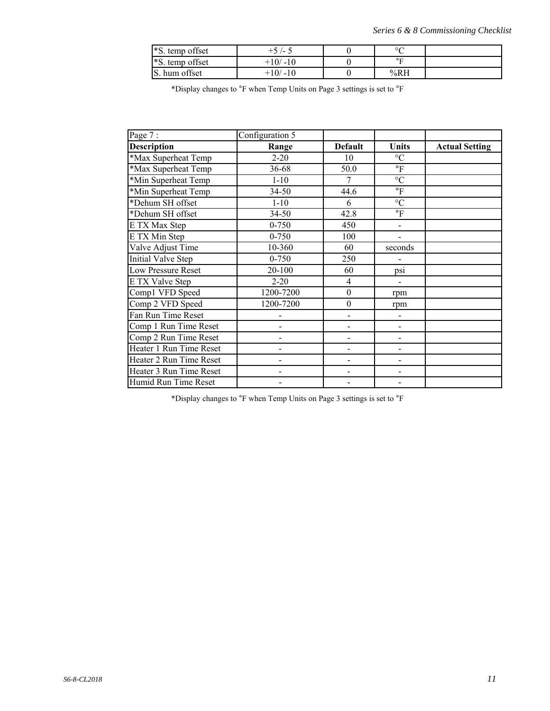| *S. temp offset   | $\overline{\phantom{a}}$ | $\circ$          |  |
|-------------------|--------------------------|------------------|--|
| *S. temp offset   | +10/ -10                 | $\circ$ $\Gamma$ |  |
| hum offset<br>IS. | $-10$<br>$+10/$          | %RH              |  |

\*Display changes to °F when Temp Units on Page 3 settings is set to °F

| Page 7:                   | Configuration 5              |                          |                          |                       |
|---------------------------|------------------------------|--------------------------|--------------------------|-----------------------|
| <b>Description</b>        | Range                        | <b>Default</b>           | Units                    | <b>Actual Setting</b> |
| *Max Superheat Temp       | $2 - 20$                     | 10                       | $\rm ^{\circ}C$          |                       |
| *Max Superheat Temp       | 36-68                        | 50.0                     | $\overline{\mathbf{F}}$  |                       |
| *Min Superheat Temp       | $1 - 10$                     | 7                        | $\rm ^{\circ}C$          |                       |
| *Min Superheat Temp       | 34-50                        | 44.6                     | $\circ$ F                |                       |
| *Dehum SH offset          | $1-10$                       | 6                        | $\overline{C}$           |                       |
| *Dehum SH offset          | $34 - 50$                    | 42.8                     | $\mathrm{^{\circ}F}$     |                       |
| E TX Max Step             | $0 - 750$                    | 450                      | $\overline{\phantom{0}}$ |                       |
| E TX Min Step             | $0 - 750$                    | 100                      | $\blacksquare$           |                       |
| Valve Adjust Time         | $10 - 360$                   | 60                       | seconds                  |                       |
| <b>Initial Valve Step</b> | $0 - 750$                    | 250                      |                          |                       |
| Low Pressure Reset        | 20-100                       | 60                       | ps1                      |                       |
| E TX Valve Step           | $2 - 20$                     | $\overline{4}$           |                          |                       |
| Comp1 VFD Speed           | 1200-7200                    | $\boldsymbol{0}$         | rpm                      |                       |
| Comp 2 VFD Speed          | 1200-7200                    | $\boldsymbol{0}$         | rpm                      |                       |
| Fan Run Time Reset        |                              |                          |                          |                       |
| Comp 1 Run Time Reset     |                              |                          |                          |                       |
| Comp 2 Run Time Reset     | -                            |                          | -                        |                       |
| Heater 1 Run Time Reset   | -                            |                          | -                        |                       |
| Heater 2 Run Time Reset   | $\qquad \qquad \blacksquare$ | $\overline{\phantom{0}}$ | $\frac{1}{2}$            |                       |
| Heater 3 Run Time Reset   |                              |                          |                          |                       |
| Humid Run Time Reset      |                              |                          |                          |                       |

\*Display changes to °F when Temp Units on Page 3 settings is set to °F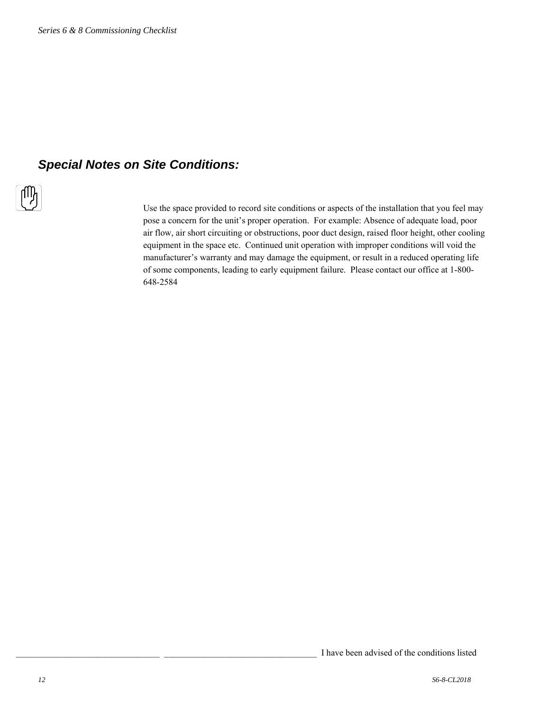### *Special Notes on Site Conditions:*



Use the space provided to record site conditions or aspects of the installation that you feel may pose a concern for the unit's proper operation. For example: Absence of adequate load, poor air flow, air short circuiting or obstructions, poor duct design, raised floor height, other cooling equipment in the space etc. Continued unit operation with improper conditions will void the manufacturer's warranty and may damage the equipment, or result in a reduced operating life of some components, leading to early equipment failure. Please contact our office at 1-800- 648-2584